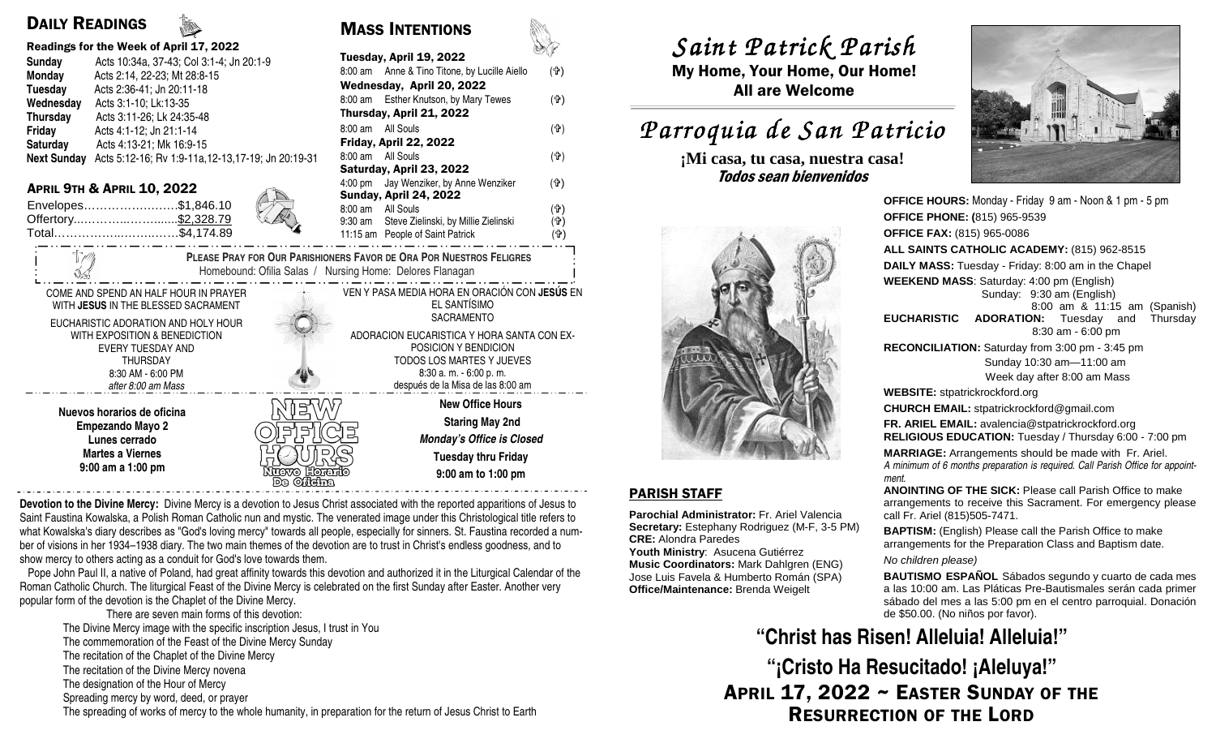## DAILY READINGS

| Readings for the Week of April 17, 2022                                                |                                                                 |                                      |                                            |                                                                          |            |
|----------------------------------------------------------------------------------------|-----------------------------------------------------------------|--------------------------------------|--------------------------------------------|--------------------------------------------------------------------------|------------|
| Sunday                                                                                 | Acts 10:34a, 37-43; Col 3:1-4; Jn 20:1-9                        |                                      | Tuesday, April 19, 2022                    |                                                                          |            |
| Monday                                                                                 | Acts 2:14, 22-23; Mt 28:8-15                                    |                                      |                                            | 8:00 am Anne & Tino Titone, by Lucille Aiello                            | (유)        |
| <b>Tuesday</b>                                                                         | Acts 2:36-41; Jn 20:11-18                                       |                                      | Wednesday, April 20, 2022                  |                                                                          |            |
| Wednesday                                                                              | Acts 3:1-10; Lk:13-35                                           |                                      |                                            | 8:00 am Esther Knutson, by Mary Tewes                                    | (유)        |
| <b>Thursday</b>                                                                        | Acts 3:11-26; Lk 24:35-48                                       |                                      | Thursday, April 21, 2022                   |                                                                          |            |
| Friday                                                                                 | Acts 4:1-12; Jn 21:1-14                                         |                                      |                                            | 8:00 am All Souls                                                        | (유)        |
| Saturday                                                                               | Acts 4:13-21; Mk 16:9-15                                        |                                      | Friday, April 22, 2022                     |                                                                          |            |
|                                                                                        | Next Sunday Acts 5:12-16; Rv 1:9-11a, 12-13, 17-19; Jn 20:19-31 |                                      |                                            | 8:00 am All Souls                                                        | (f)        |
|                                                                                        |                                                                 |                                      | Saturday, April 23, 2022                   |                                                                          |            |
|                                                                                        | <b>APRIL 9TH &amp; APRIL 10, 2022</b>                           |                                      |                                            | 4:00 pm Jay Wenziker, by Anne Wenziker                                   | (유)        |
|                                                                                        | Envelopes\$1,846.10                                             |                                      |                                            | <b>Sunday, April 24, 2022</b>                                            |            |
|                                                                                        | Offertory \$2,328.79                                            |                                      |                                            | 8:00 am All Souls                                                        | (유)        |
|                                                                                        | Total\$4,174.89                                                 |                                      | 9:30 am                                    | Steve Zielinski, by Millie Zielinski<br>11:15 am People of Saint Patrick | (유)<br>(4) |
|                                                                                        |                                                                 |                                      |                                            |                                                                          |            |
| <b>PLEASE PRAY FOR OUR PARISHIONERS FAVOR DE ORA POR NUESTROS FELIGRES</b>             |                                                                 |                                      |                                            |                                                                          |            |
| Homebound: Ofilia Salas / Nursing Home: Delores Flanagan                               |                                                                 |                                      |                                            |                                                                          |            |
| VEN Y PASA MEDIA HORA EN ORACIÓN CON JESÚS EN<br>COME AND SPEND AN HALF HOUR IN PRAYER |                                                                 |                                      |                                            |                                                                          |            |
|                                                                                        | WITH JESUS IN THE BLESSED SACRAMENT                             | EL SANTÍSIMO                         |                                            |                                                                          |            |
|                                                                                        |                                                                 |                                      |                                            | <b>SACRAMENTO</b>                                                        |            |
| EUCHARISTIC ADORATION AND HOLY HOUR<br>WITH EXPOSITION & BENEDICTION                   |                                                                 |                                      | ADORACION EUCARISTICA Y HORA SANTA CON EX- |                                                                          |            |
| <b>EVERY TUESDAY AND</b>                                                               |                                                                 |                                      | POSICION Y BENDICION                       |                                                                          |            |
| <b>THURSDAY</b>                                                                        |                                                                 |                                      | TODOS LOS MARTES Y JUEVES                  |                                                                          |            |
| 8:30 AM - 6:00 PM                                                                      |                                                                 |                                      | 8:30 a.m. - 6:00 p.m.                      |                                                                          |            |
| after 8:00 am Mass                                                                     |                                                                 |                                      | después de la Misa de las 8:00 am          |                                                                          |            |
|                                                                                        |                                                                 |                                      |                                            | <b>New Office Hours</b>                                                  |            |
| Nuevos horarios de oficina                                                             |                                                                 |                                      |                                            | <b>Staring May 2nd</b>                                                   |            |
| <b>Empezando Mayo 2</b>                                                                |                                                                 |                                      |                                            |                                                                          |            |
| Lunes cerrado                                                                          |                                                                 |                                      | <b>Monday's Office is Closed</b>           |                                                                          |            |
| <b>Martes a Viernes</b>                                                                |                                                                 |                                      |                                            | <b>Tuesday thru Friday</b>                                               |            |
| 9:00 am a 1:00 pm                                                                      |                                                                 | $N$ ग $\overline{\rm max}$ । Formato |                                            | $0.00 \, \text{nm}$ to 1.00 nm                                           |            |

MASS INTENTIONS

**9:00 am to 1:00 pm** 

**Devotion to the Divine Mercy:** Divine Mercy is a devotion to Jesus Christ associated with the reported apparitions of Jesus to Saint Faustina Kowalska, a Polish Roman Catholic nun and mystic. The venerated image under this Christological title refers to what Kowalska's diary describes as "God's loving mercy" towards all people, especially for sinners. St. Faustina recorded a number of visions in her 1934–1938 diary. The two main themes of the devotion are to trust in Christ's endless goodness, and to show mercy to others acting as a conduit for God's love towards them.

Nuevo Horario<br>En Oficina

 Pope John Paul II, a native of Poland, had great affinity towards this devotion and authorized it in the Liturgical Calendar of the Roman Catholic Church. The liturgical Feast of the Divine Mercy is celebrated on the first Sunday after Easter. Another very popular form of the devotion is the Chaplet of the Divine Mercy.

 There are seven main forms of this devotion: The Divine Mercy image with the specific inscription Jesus, I trust in You The commemoration of the Feast of the Divine Mercy Sunday The recitation of the Chaplet of the Divine Mercy The recitation of the Divine Mercy novena The designation of the Hour of Mercy Spreading mercy by word, deed, or prayer The spreading of works of mercy to the whole humanity, in preparation for the return of Jesus Christ to Earth *Saint Patrick Parish Saint Parish*

 My Home, Your Home, Our Home! All are Welcome

# *Parroquia de San Patricio San Patricio*

**¡Mi casa, tu casa, nuestra casa!** Todos sean bienvenidos



### PARISH STAFF

**Parochial Administrator:** Fr. Ariel Valencia **Secretary:** Estephany Rodriguez (M-F, 3-5 PM)**CRE:** Alondra Paredes

 **Youth Ministry**: Asucena Gutiérrez **Music Coordinators:** Mark Dahlgren (ENG) Jose Luis Favela & Humberto Román (SPA) **Office/Maintenance:** Brenda Weigelt



**OFFICE HOURS:** Monday - Friday 9 am - Noon & 1 pm - 5 pm**OFFICE PHONE: (**815) 965-9539**OFFICE FAX:** (815) 965-0086 **ALL SAINTS CATHOLIC ACADEMY:** (815) 962-8515**DAILY MASS:** Tuesday - Friday: 8:00 am in the Chapel**WEEKEND MASS**: Saturday: 4:00 pm (English) Sunday: 9:30 am (English) 8:00 am & 11:15 am (Spanish) **EUCHARISTIC ADORATION:** Tuesday and Thursday 8:30 am - 6:00 pm **RECONCILIATION:** Saturday from 3:00 pm - 3:45 pm Sunday 10:30 am—11:00 am Week day after 8:00 am Mass**WEBSITE:** stpatrickrockford.org **CHURCH EMAIL:** stpatrickrockford@gmail.com **FR. ARIEL EMAIL:** avalencia@stpatrickrockford.org **RELIGIOUS EDUCATION:** Tuesday / Thursday 6:00 - 7:00 pm**MARRIAGE:** Arrangements should be made with Fr. Ariel. *A minimum of 6 months preparation is required. Call Parish Office for appointment.* **ANOINTING OF THE SICK:** Please call Parish Office to make arrangements to receive this Sacrament. For emergency please call Fr. Ariel (815)505-7471.**BAPTISM:** (English) Please call the Parish Office to make arrangements for the Preparation Class and Baptism date. No children please)

**BAUTISMO ESPAÑOL** Sábados segundo y cuarto de cada mes a las 10:00 am. Las Pláticas Pre-Bautismales serán cada primer sábado del mes a las 5:00 pm en el centro parroquial. Donación de \$50.00. (No niños por favor).

# **"Christ has Risen! Alleluia! Alleluia!"**

APRIL 17, 2022 ~ EASTER SUNDAY OF THE RESURRECTION OF THE LORD**"¡Cristo Ha Resucitado! ¡Aleluya!"**